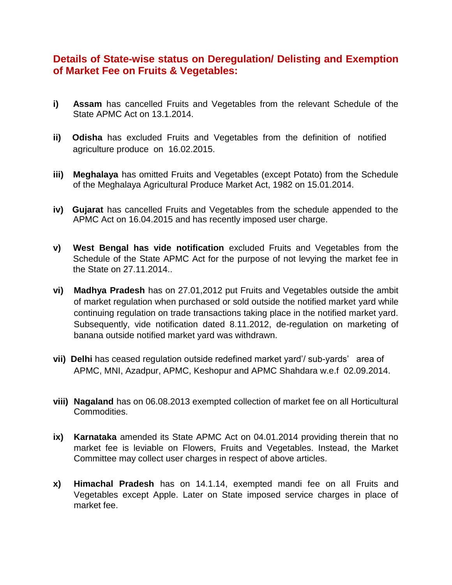## **Details of State-wise status on Deregulation/ Delisting and Exemption of Market Fee on Fruits & Vegetables:**

- **i) Assam** has cancelled Fruits and Vegetables from the relevant Schedule of the State APMC Act on 13.1.2014.
- **ii) Odisha** hasexcluded Fruits and Vegetables from the definition of notified agriculture produce on 16.02.2015.
- **iii) Meghalaya** has omitted Fruits and Vegetables (except Potato) from the Schedule of the Meghalaya Agricultural Produce Market Act, 1982 on 15.01.2014.
- **iv) Gujarat** has cancelled Fruits and Vegetables from the schedule appended to the APMC Act on 16.04.2015 and has recently imposed user charge.
- **v) West Bengal has vide notification** excluded Fruits and Vegetables from the Schedule of the State APMC Act for the purpose of not levying the market fee in the State on 27.11.2014..
- **vi) Madhya Pradesh** has on 27.01,2012 put Fruits and Vegetables outside the ambit of market regulation when purchased or sold outside the notified market yard while continuing regulation on trade transactions taking place in the notified market yard. Subsequently, vide notification dated 8.11.2012, de-regulation on marketing of banana outside notified market yard was withdrawn.
- **vii) Delhi** has ceased regulation outside redefined market yard'/ sub-yards' area of APMC, MNI, Azadpur, APMC, Keshopur and APMC Shahdara w.e.f 02.09.2014.
- **viii) Nagaland** has on 06.08.2013 exempted collection of market fee on all Horticultural Commodities.
- **ix) Karnataka** amended its State APMC Act on 04.01.2014 providing therein that no market fee is leviable on Flowers, Fruits and Vegetables. Instead, the Market Committee may collect user charges in respect of above articles.
- **x) Himachal Pradesh** has on 14.1.14, exempted mandi fee on all Fruits and Vegetables except Apple. Later on State imposed service charges in place of market fee.